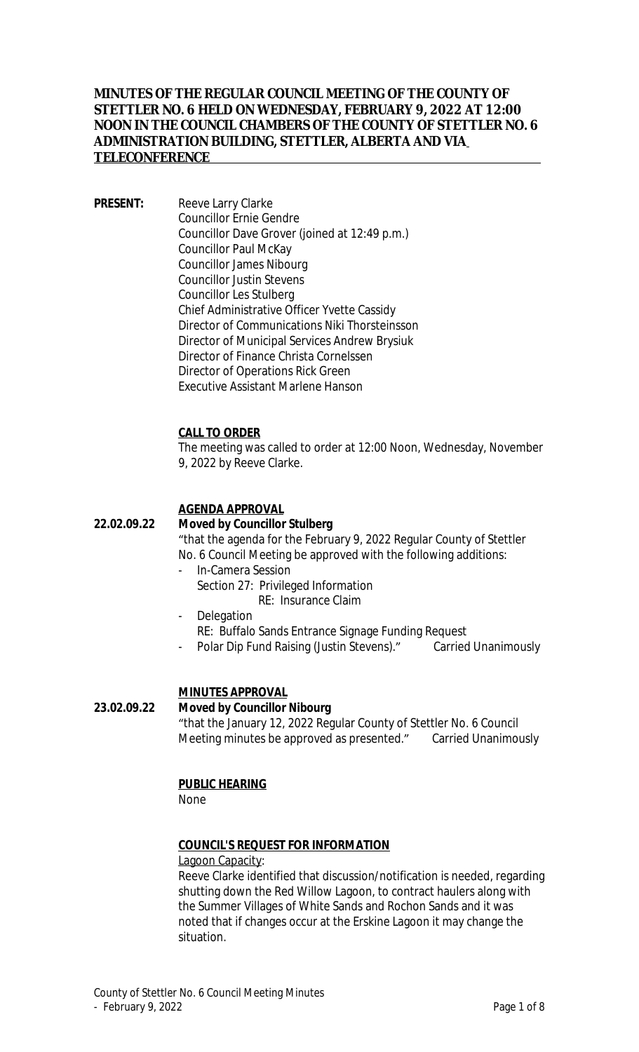# **MINUTES OF THE REGULAR COUNCIL MEETING OF THE COUNTY OF STETTLER NO. 6 HELD ON WEDNESDAY, FEBRUARY 9, 2022 AT 12:00 NOON IN THE COUNCIL CHAMBERS OF THE COUNTY OF STETTLER NO. 6 ADMINISTRATION BUILDING, STETTLER, ALBERTA AND VIA TELECONFERENCE**

**PRESENT:** Reeve Larry Clarke Councillor Ernie Gendre Councillor Dave Grover (joined at 12:49 p.m.) Councillor Paul McKay Councillor James Nibourg Councillor Justin Stevens Councillor Les Stulberg Chief Administrative Officer Yvette Cassidy Director of Communications Niki Thorsteinsson Director of Municipal Services Andrew Brysiuk Director of Finance Christa Cornelssen Director of Operations Rick Green Executive Assistant Marlene Hanson

### **CALL TO ORDER**

The meeting was called to order at 12:00 Noon, Wednesday, November 9, 2022 by Reeve Clarke.

# **AGENDA APPROVAL**

### **22.02.09.22 Moved by Councillor Stulberg**

"that the agenda for the February 9, 2022 Regular County of Stettler No. 6 Council Meeting be approved with the following additions:

- In-Camera Session Section 27: Privileged Information
	- RE: Insurance Claim
- **Delegation**
- RE: Buffalo Sands Entrance Signage Funding Request
- Polar Dip Fund Raising (Justin Stevens)." Carried Unanimously

### **MINUTES APPROVAL**

#### **23.02.09.22 Moved by Councillor Nibourg**

"that the January 12, 2022 Regular County of Stettler No. 6 Council Meeting minutes be approved as presented." Carried Unanimously

#### **PUBLIC HEARING**

None

### **COUNCIL'S REQUEST FOR INFORMATION**

#### Lagoon Capacity:

Reeve Clarke identified that discussion/notification is needed, regarding shutting down the Red Willow Lagoon, to contract haulers along with the Summer Villages of White Sands and Rochon Sands and it was noted that if changes occur at the Erskine Lagoon it may change the situation.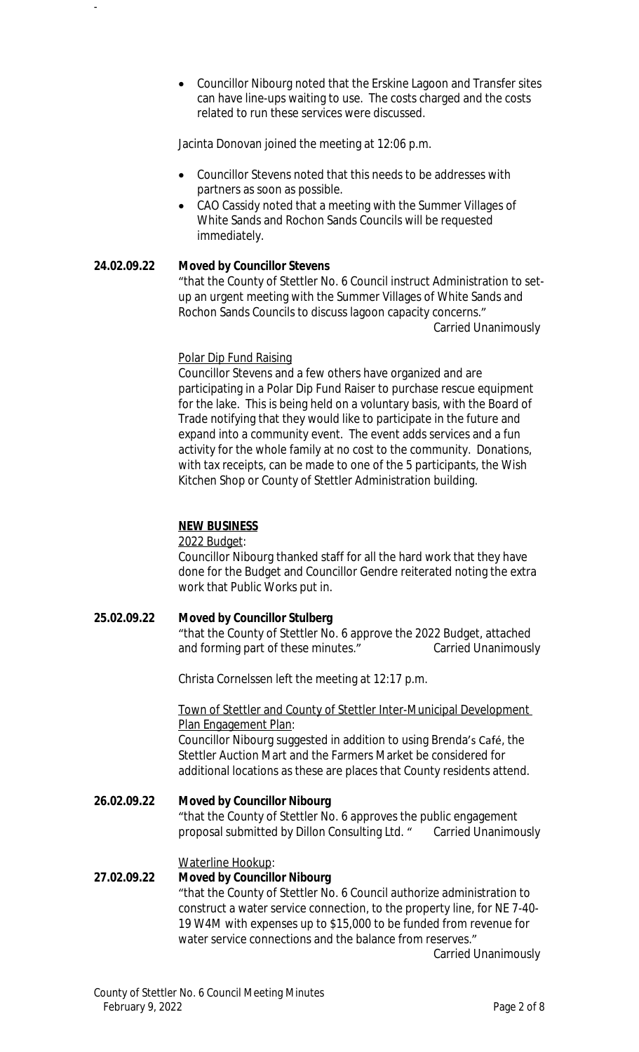Councillor Nibourg noted that the Erskine Lagoon and Transfer sites can have line-ups waiting to use. The costs charged and the costs related to run these services were discussed.

Jacinta Donovan joined the meeting at 12:06 p.m.

- Councillor Stevens noted that this needs to be addresses with partners as soon as possible.
- CAO Cassidy noted that a meeting with the Summer Villages of White Sands and Rochon Sands Councils will be requested immediately.

# **24.02.09.22 Moved by Councillor Stevens**

-

"that the County of Stettler No. 6 Council instruct Administration to setup an urgent meeting with the Summer Villages of White Sands and Rochon Sands Councils to discuss lagoon capacity concerns." Carried Unanimously

### Polar Dip Fund Raising

Councillor Stevens and a few others have organized and are participating in a Polar Dip Fund Raiser to purchase rescue equipment for the lake. This is being held on a voluntary basis, with the Board of Trade notifying that they would like to participate in the future and expand into a community event. The event adds services and a fun activity for the whole family at no cost to the community. Donations, with tax receipts, can be made to one of the 5 participants, the Wish Kitchen Shop or County of Stettler Administration building.

### **NEW BUSINESS**

#### 2022 Budget:

Councillor Nibourg thanked staff for all the hard work that they have done for the Budget and Councillor Gendre reiterated noting the extra work that Public Works put in.

# **25.02.09.22 Moved by Councillor Stulberg**

"that the County of Stettler No. 6 approve the 2022 Budget, attached and forming part of these minutes." Carried Unanimously

Christa Cornelssen left the meeting at 12:17 p.m.

Town of Stettler and County of Stettler Inter-Municipal Development Plan Engagement Plan:

Councillor Nibourg suggested in addition to using Brenda's Café, the Stettler Auction Mart and the Farmers Market be considered for additional locations as these are places that County residents attend.

**26.02.09.22 Moved by Councillor Nibourg** "that the County of Stettler No. 6 approves the public engagement proposal submitted by Dillon Consulting Ltd. " Carried Unanimously

# Waterline Hookup:

# **27.02.09.22 Moved by Councillor Nibourg** "that the County of Stettler No. 6 Council authorize administration to construct a water service connection, to the property line, for NE 7-40- 19 W4M with expenses up to \$15,000 to be funded from revenue for water service connections and the balance from reserves."

Carried Unanimously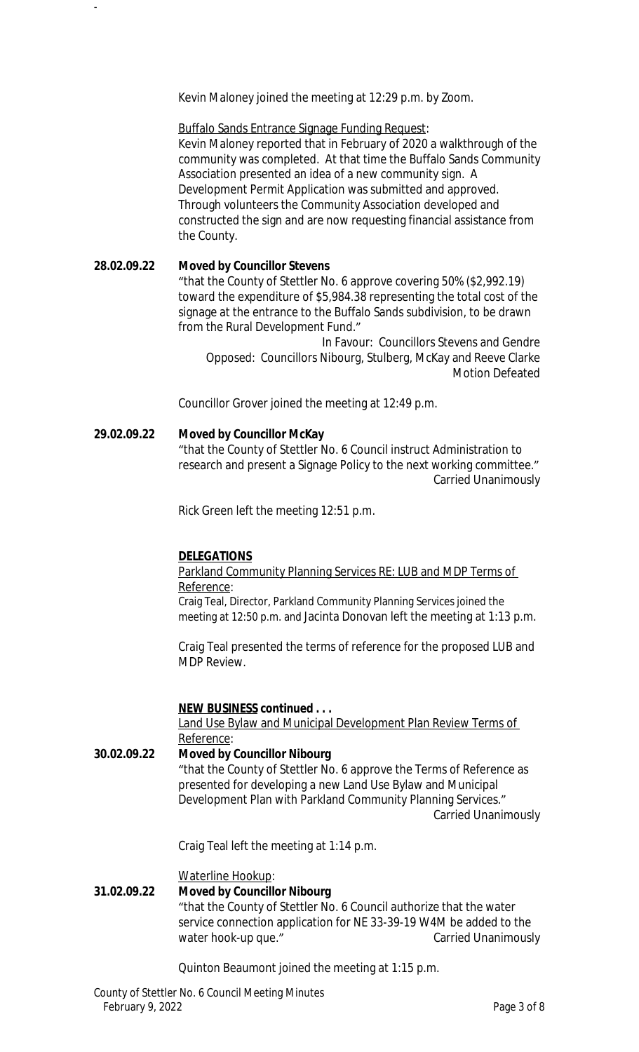Kevin Maloney joined the meeting at 12:29 p.m. by Zoom.

Buffalo Sands Entrance Signage Funding Request: Kevin Maloney reported that in February of 2020 a walkthrough of the community was completed. At that time the Buffalo Sands Community Association presented an idea of a new community sign. A Development Permit Application was submitted and approved. Through volunteers the Community Association developed and constructed the sign and are now requesting financial assistance from the County.

**28.02.09.22 Moved by Councillor Stevens** "that the County of Stettler No. 6 approve covering 50% (\$2,992.19) toward the expenditure of \$5,984.38 representing the total cost of the signage at the entrance to the Buffalo Sands subdivision, to be drawn from the Rural Development Fund." In Favour: Councillors Stevens and Gendre

Opposed: Councillors Nibourg, Stulberg, McKay and Reeve Clarke Motion Defeated

Councillor Grover joined the meeting at 12:49 p.m.

### **29.02.09.22 Moved by Councillor McKay**

-

"that the County of Stettler No. 6 Council instruct Administration to research and present a Signage Policy to the next working committee." Carried Unanimously

Rick Green left the meeting 12:51 p.m.

#### **DELEGATIONS**

# Parkland Community Planning Services RE: LUB and MDP Terms of Reference:

Craig Teal, Director, Parkland Community Planning Services joined the meeting at 12:50 p.m. and Jacinta Donovan left the meeting at 1:13 p.m.

Craig Teal presented the terms of reference for the proposed LUB and MDP Review.

#### **NEW BUSINESS continued . . .**

Land Use Bylaw and Municipal Development Plan Review Terms of Reference:

**30.02.09.22 Moved by Councillor Nibourg** "that the County of Stettler No. 6 approve the Terms of Reference as presented for developing a new Land Use Bylaw and Municipal Development Plan with Parkland Community Planning Services." Carried Unanimously

Craig Teal left the meeting at 1:14 p.m.

Waterline Hookup:

#### **31.02.09.22 Moved by Councillor Nibourg**

"that the County of Stettler No. 6 Council authorize that the water service connection application for NE 33-39-19 W4M be added to the water hook-up que." The carried Unanimously

Quinton Beaumont joined the meeting at 1:15 p.m.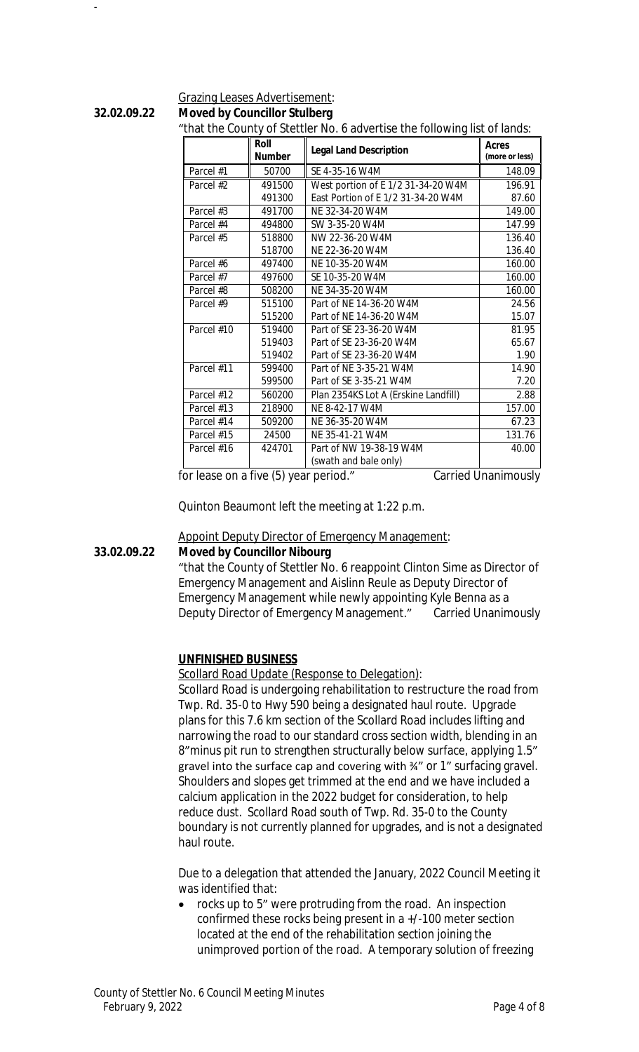#### Grazing Leases Advertisement:

**32.02.09.22 Moved by Councillor Stulberg**

-

#### "that the County of Stettler No. 6 advertise the following list of lands:

|            | Roll<br><b>Number</b> | mat the boarity of otottion no. o davortise the rollowing list of lands.<br><b>Legal Land Description</b> | Acres<br>(more or less) |
|------------|-----------------------|-----------------------------------------------------------------------------------------------------------|-------------------------|
| Parcel #1  | 50700                 | SE 4-35-16 W4M                                                                                            | 148.09                  |
| Parcel #2  | 491500                | West portion of E 1/2 31-34-20 W4M                                                                        | 196.91                  |
|            | 491300                | East Portion of E 1/2 31-34-20 W4M                                                                        | 87.60                   |
| Parcel #3  | 491700                | NE 32-34-20 W4M                                                                                           | 149.00                  |
| Parcel #4  | 494800                | SW 3-35-20 W4M                                                                                            | 147.99                  |
| Parcel #5  | 518800                | NW 22-36-20 W4M                                                                                           | 136.40                  |
|            | 518700                | NE 22-36-20 W4M                                                                                           | 136.40                  |
| Parcel #6  | 497400                | NE 10-35-20 W4M                                                                                           | 160.00                  |
| Parcel #7  | 497600                | SE 10-35-20 W4M                                                                                           | 160.00                  |
| Parcel #8  | 508200                | NE 34-35-20 W4M                                                                                           | 160.00                  |
| Parcel #9  | 515100                | Part of NF 14-36-20 W4M                                                                                   | 24.56                   |
|            | 515200                | Part of NE 14-36-20 W4M                                                                                   | 15.07                   |
| Parcel #10 | 519400                | Part of SE 23-36-20 W4M                                                                                   | 81.95                   |
|            | 519403                | Part of SE 23-36-20 W4M                                                                                   | 65.67                   |
|            | 519402                | Part of SE 23-36-20 W4M                                                                                   | 1.90                    |
| Parcel #11 | 599400                | Part of NE 3-35-21 W4M                                                                                    | 14.90                   |
|            | 599500                | Part of SE 3-35-21 W4M                                                                                    | 7.20                    |
| Parcel #12 | 560200                | Plan 2354KS Lot A (Erskine Landfill)                                                                      | 2.88                    |
| Parcel #13 | 218900                | NE 8-42-17 W4M                                                                                            | 157.00                  |
| Parcel #14 | 509200                | NE 36-35-20 W4M                                                                                           | 67.23                   |
| Parcel #15 | 24500                 | NE 35-41-21 W4M                                                                                           | 131.76                  |
| Parcel #16 | 424701                | Part of NW 19-38-19 W4M                                                                                   | 40.00                   |
|            |                       | (swath and bale only)                                                                                     |                         |

for lease on a five (5) year period." Carried Unanimously

Quinton Beaumont left the meeting at 1:22 p.m.

### Appoint Deputy Director of Emergency Management:

### **33.02.09.22 Moved by Councillor Nibourg**

"that the County of Stettler No. 6 reappoint Clinton Sime as Director of Emergency Management and Aislinn Reule as Deputy Director of Emergency Management while newly appointing Kyle Benna as a Deputy Director of Emergency Management." Carried Unanimously

#### **UNFINISHED BUSINESS**

Scollard Road Update (Response to Delegation):

Scollard Road is undergoing rehabilitation to restructure the road from Twp. Rd. 35-0 to Hwy 590 being a designated haul route. Upgrade plans for this 7.6 km section of the Scollard Road includes lifting and narrowing the road to our standard cross section width, blending in an 8"minus pit run to strengthen structurally below surface, applying 1.5" gravel into the surface cap and covering with ¾" or 1" surfacing gravel. Shoulders and slopes get trimmed at the end and we have included a calcium application in the 2022 budget for consideration, to help reduce dust. Scollard Road south of Twp. Rd. 35-0 to the County boundary is not currently planned for upgrades, and is not a designated haul route.

Due to a delegation that attended the January, 2022 Council Meeting it was identified that:

 rocks up to 5" were protruding from the road. An inspection confirmed these rocks being present in a +/-100 meter section located at the end of the rehabilitation section joining the unimproved portion of the road. A temporary solution of freezing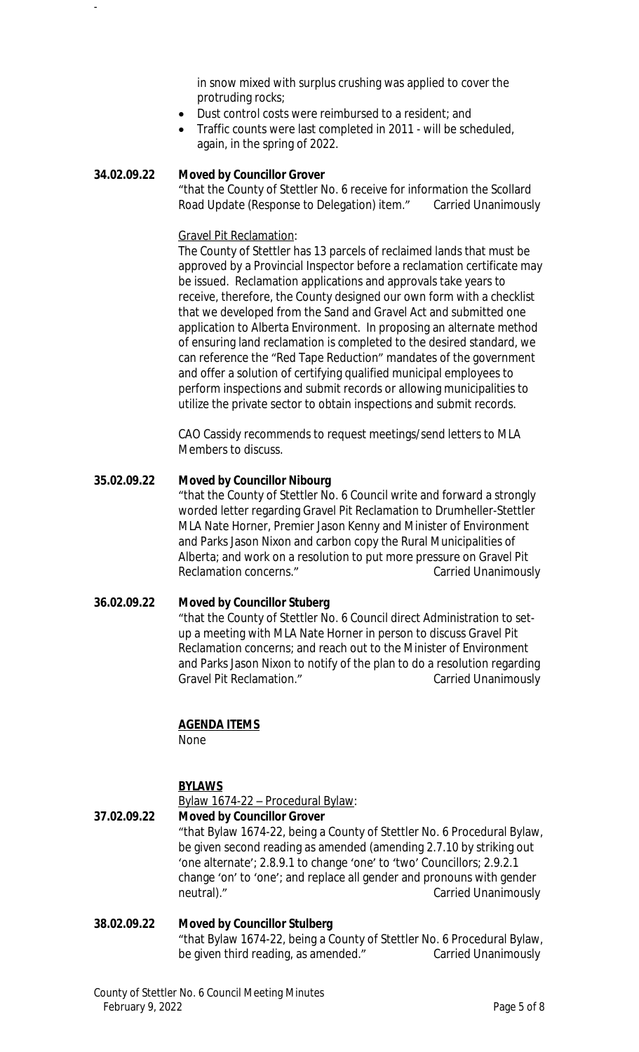in snow mixed with surplus crushing was applied to cover the protruding rocks;

- Dust control costs were reimbursed to a resident; and
- Traffic counts were last completed in 2011 will be scheduled, again, in the spring of 2022.

### **34.02.09.22 Moved by Councillor Grover**

-

"that the County of Stettler No. 6 receive for information the Scollard Road Update (Response to Delegation) item." Carried Unanimously

### Gravel Pit Reclamation:

The County of Stettler has 13 parcels of reclaimed lands that must be approved by a Provincial Inspector before a reclamation certificate may be issued. Reclamation applications and approvals take years to receive, therefore, the County designed our own form with a checklist that we developed from the *Sand and Gravel Act* and submitted one application to Alberta Environment. In proposing an alternate method of ensuring land reclamation is completed to the desired standard, we can reference the "Red Tape Reduction" mandates of the government and offer a solution of certifying qualified municipal employees to perform inspections and submit records or allowing municipalities to utilize the private sector to obtain inspections and submit records.

CAO Cassidy recommends to request meetings/send letters to MLA Members to discuss.

### **35.02.09.22 Moved by Councillor Nibourg**

"that the County of Stettler No. 6 Council write and forward a strongly worded letter regarding Gravel Pit Reclamation to Drumheller-Stettler MLA Nate Horner, Premier Jason Kenny and Minister of Environment and Parks Jason Nixon and carbon copy the Rural Municipalities of Alberta; and work on a resolution to put more pressure on Gravel Pit Reclamation concerns." The Carried Unanimously

#### **36.02.09.22 Moved by Councillor Stuberg**

"that the County of Stettler No. 6 Council direct Administration to setup a meeting with MLA Nate Horner in person to discuss Gravel Pit Reclamation concerns; and reach out to the Minister of Environment and Parks Jason Nixon to notify of the plan to do a resolution regarding Gravel Pit Reclamation." Carried Unanimously

# **AGENDA ITEMS**

None

# **BYLAWS**

Bylaw 1674-22 – Procedural Bylaw:

### **37.02.09.22 Moved by Councillor Grover** "that Bylaw 1674-22, being a County of Stettler No. 6 Procedural Bylaw, be given second reading as amended (amending 2.7.10 by striking out 'one alternate'; 2.8.9.1 to change 'one' to 'two' Councillors; 2.9.2.1 change 'on' to 'one'; and replace all gender and pronouns with gender neutral)." The carried Unanimously carried Unanimously

# **38.02.09.22 Moved by Councillor Stulberg** "that Bylaw 1674-22, being a County of Stettler No. 6 Procedural Bylaw, be given third reading, as amended." Carried Unanimously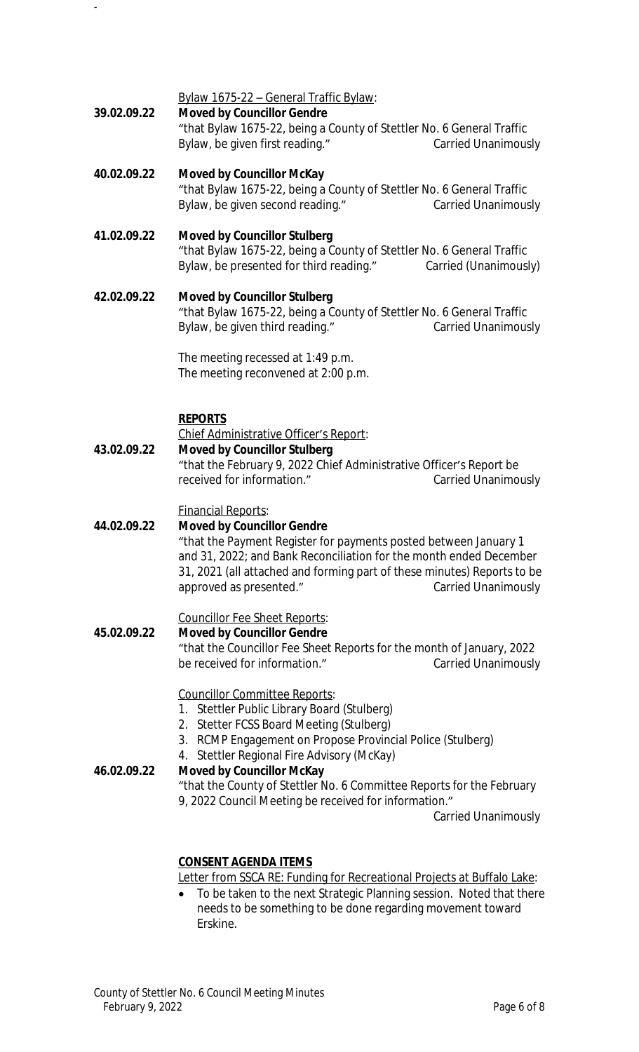Bylaw 1675-22 – General Traffic Bylaw:

**39.02.09.22 Moved by Councillor Gendre**

-

"that Bylaw 1675-22, being a County of Stettler No. 6 General Traffic Bylaw, be given first reading." Carried Unanimously

# **40.02.09.22 Moved by Councillor McKay**

"that Bylaw 1675-22, being a County of Stettler No. 6 General Traffic Bylaw, be given second reading." Carried Unanimously

# **41.02.09.22 Moved by Councillor Stulberg** "that Bylaw 1675-22, being a County of Stettler No. 6 General Traffic Bylaw, be presented for third reading." Carried (Unanimously)

**42.02.09.22 Moved by Councillor Stulberg** "that Bylaw 1675-22, being a County of Stettler No. 6 General Traffic Bylaw, be given third reading." Carried Unanimously

> The meeting recessed at 1:49 p.m. The meeting reconvened at 2:00 p.m.

# **REPORTS**

Chief Administrative Officer's Report:

**43.02.09.22 Moved by Councillor Stulberg** "that the February 9, 2022 Chief Administrative Officer's Report be received for information." Carried Unanimously

Financial Reports:

# **44.02.09.22 Moved by Councillor Gendre**

"that the Payment Register for payments posted between January 1 and 31, 2022; and Bank Reconciliation for the month ended December 31, 2021 (all attached and forming part of these minutes) Reports to be approved as presented." The Carried Unanimously

# Councillor Fee Sheet Reports:

**45.02.09.22 Moved by Councillor Gendre** "that the Councillor Fee Sheet Reports for the month of January, 2022 be received for information." Carried Unanimously

# Councillor Committee Reports:

- 1. Stettler Public Library Board (Stulberg)
- 2. Stetter FCSS Board Meeting (Stulberg)
- 3. RCMP Engagement on Propose Provincial Police (Stulberg)
- 4. Stettler Regional Fire Advisory (McKay)

### **46.02.09.22 Moved by Councillor McKay**

"that the County of Stettler No. 6 Committee Reports for the February 9, 2022 Council Meeting be received for information."

Carried Unanimously

# **CONSENT AGENDA ITEMS**

Letter from SSCA RE: Funding for Recreational Projects at Buffalo Lake:

 To be taken to the next Strategic Planning session. Noted that there needs to be something to be done regarding movement toward Erskine.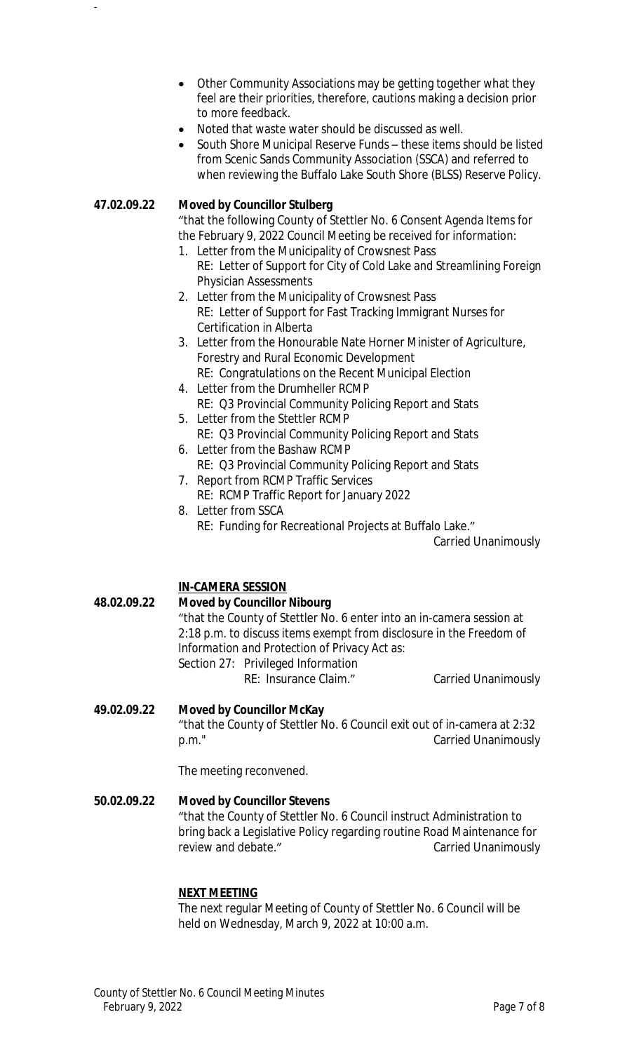- Other Community Associations may be getting together what they feel are their priorities, therefore, cautions making a decision prior to more feedback.
- Noted that waste water should be discussed as well.
- South Shore Municipal Reserve Funds these items should be listed from Scenic Sands Community Association (SSCA) and referred to when reviewing the Buffalo Lake South Shore (BLSS) Reserve Policy.

### **47.02.09.22 Moved by Councillor Stulberg**

-

"that the following County of Stettler No. 6 Consent Agenda Items for the February 9, 2022 Council Meeting be received for information:

- 1. Letter from the Municipality of Crowsnest Pass
	- RE: Letter of Support for City of Cold Lake and Streamlining Foreign Physician Assessments
- 2. Letter from the Municipality of Crowsnest Pass RE: Letter of Support for Fast Tracking Immigrant Nurses for Certification in Alberta
- 3. Letter from the Honourable Nate Horner Minister of Agriculture, Forestry and Rural Economic Development RE: Congratulations on the Recent Municipal Election
- 4. Letter from the Drumheller RCMP
- RE: Q3 Provincial Community Policing Report and Stats 5. Letter from the Stettler RCMP
	- RE: Q3 Provincial Community Policing Report and Stats
- 6. Letter from the Bashaw RCMP
- RE: Q3 Provincial Community Policing Report and Stats 7. Report from RCMP Traffic Services
- RE: RCMP Traffic Report for January 2022
- 8. Letter from SSCA RE: Funding for Recreational Projects at Buffalo Lake."

Carried Unanimously

# **IN-CAMERA SESSION**

# **48.02.09.22 Moved by Councillor Nibourg** "that the County of Stettler No. 6 enter into an in-camera session at 2:18 p.m. to discuss items exempt from disclosure in the *Freedom of Information and Protection of Privacy Act* as: Section 27: Privileged Information RE: Insurance Claim." Carried Unanimously

# **49.02.09.22 Moved by Councillor McKay** "that the County of Stettler No. 6 Council exit out of in-camera at 2:32 p.m." Carried Unanimously

The meeting reconvened.

# **50.02.09.22 Moved by Councillor Stevens**

"that the County of Stettler No. 6 Council instruct Administration to bring back a Legislative Policy regarding routine Road Maintenance for review and debate." The Carried Unanimously

#### **NEXT MEETING**

The next regular Meeting of County of Stettler No. 6 Council will be held on Wednesday, March 9, 2022 at 10:00 a.m.